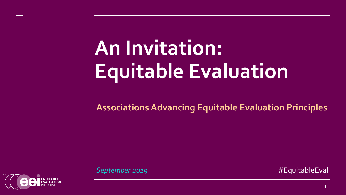# **An Invitation: Equitable Evaluation**

**Associations Advancing Equitable Evaluation Principles** 

**September 2019 All 2019 Example 2019 #EquitableEval** 

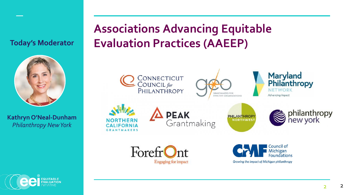#### **Today's Moderator**



**Kathryn O'Neal-Dunham** *Philanthropy New York*

### **Associations Advancing Equitable Evaluation Practices (AAEEP)**



2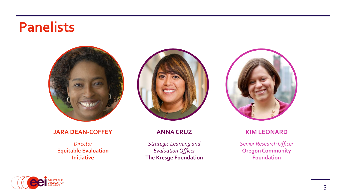## **Panelists**



#### **JARA DEAN-COFFEY**

*Director*  **Equitable Evaluation Initiative**



#### **ANNA CRUZ**

*Strategic Learning and Evaluation Officer*  **The Kresge Foundation** 



#### **KIM LEONARD**

*Senior Research Officer* **Oregon Community Foundation** 

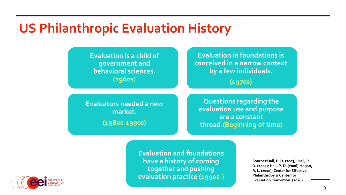### **US Philanthropic Evaluation History**

**Evaluation is a child of government and behavioral sciences. (1960s)**

**Evaluation in foundations is conceived in a narrow context by a few individuals.**

**(1970s)**

**Evaluators needed a new market. (1980s-1990s)**

**Questions regarding the evaluation use and purpose are a constant thread.(Beginning of time)**

**Evaluation and foundations have a history of coming together and pushing evaluation practice (1990s-)**

**Sources:Hall, P. D. (2003); Hall, P. D. (2004); Hall, P. D. (2006).Hogan, R. L. (2010); Center for Effective Philanthropy & Center for Evaluation Innovation. (2016)**

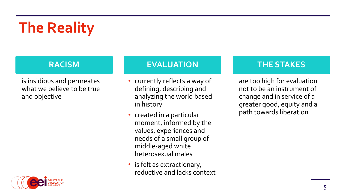# **The Reality**

is insidious and permeates what we believe to be true and objective

#### **RACISM EVALUATION THE STAKES**

- currently reflects a way of defining, describing and analyzing the world based in history
- created in a particular moment, informed by the values, experiences and needs of a small group of middle-aged white heterosexual males
- is felt as extractionary, reductive and lacks context

are too high for evaluation not to be an instrument of change and in service of a greater good, equity and a path towards liberation

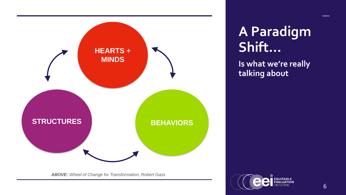

## **A Paradigm Shift…**

**Is what we're really talking about**

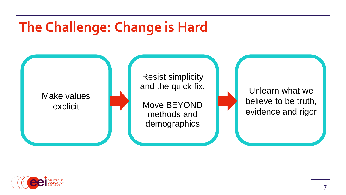## **The Challenge: Change is Hard**



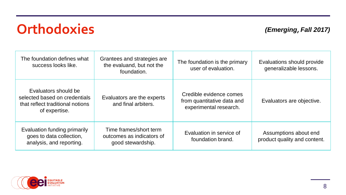## **Orthodoxies**

#### *(Emerging, Fall 2017)*

| The foundation defines what<br>success looks like.                                                         | Grantees and strategies are<br>the evaluand, but not the<br>foundation.  | The foundation is the primary<br>user of evaluation.                            | Evaluations should provide<br>generalizable lessons.  |
|------------------------------------------------------------------------------------------------------------|--------------------------------------------------------------------------|---------------------------------------------------------------------------------|-------------------------------------------------------|
| Evaluators should be<br>selected based on credentials<br>that reflect traditional notions<br>of expertise. | Evaluators are the experts<br>and final arbiters.                        | Credible evidence comes<br>from quantitative data and<br>experimental research. | Evaluators are objective.                             |
| Evaluation funding primarily<br>goes to data collection,<br>analysis, and reporting.                       | Time frames/short term<br>outcomes as indicators of<br>good stewardship. | Evaluation in service of<br>foundation brand.                                   | Assumptions about end<br>product quality and content. |

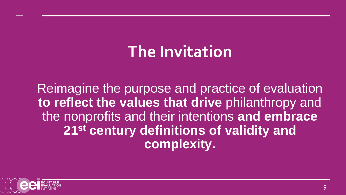# **The Invitation**

Reimagine the purpose and practice of evaluation **to reflect the values that drive** philanthropy and the nonprofits and their intentions **and embrace 21st century definitions of validity and complexity.** 

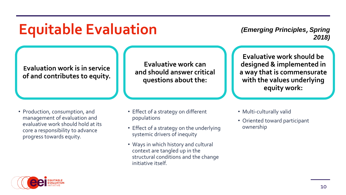## **Equitable Evaluation**

*(Emerging Principles, Spring 2018)*

**Evaluation work is in service of and contributes to equity.**

**Evaluative work can and should answer critical questions about the:**

• Production, consumption, and management of evaluation and evaluative work should hold at its core a responsibility to advance progress towards equity.

- Effect of a strategy on different populations
- Effect of a strategy on the underlying systemic drivers of inequity
- Ways in which history and cultural context are tangled up in the structural conditions and the change initiative itself.

**Evaluative work should be designed & implemented in a way that is commensurate with the values underlying equity work:** 

- Multi-culturally valid
- Oriented toward participant ownership

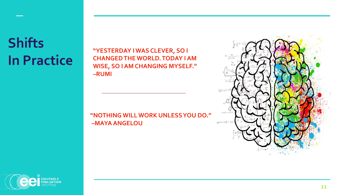## **Shifts In Practice**

**"YESTERDAY I WAS CLEVER, SO I CHANGED THE WORLD. TODAY I AM WISE, SO I AM CHANGING MYSELF." –RUMI**

#### **"NOTHING WILL WORK UNLESS YOU DO." –MAYA ANGELOU**



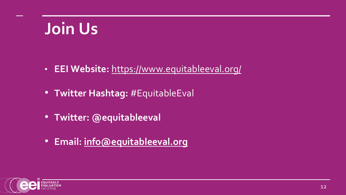# **Join Us**

- **EEI Website:** <https://www.equitableeval.org/>
- **Twitter Hashtag:** #EquitableEval
- **Twitter: @equitableeval**
- **Email: [info@equitableeval.org](mailto:info@equitableeval.org)**